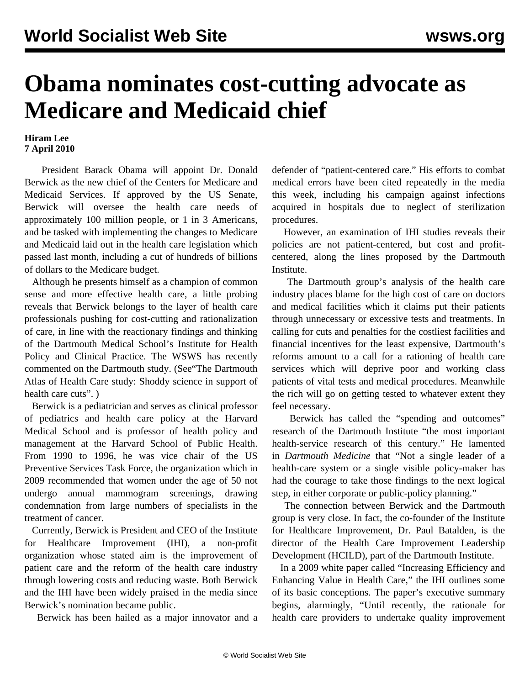## **Obama nominates cost-cutting advocate as Medicare and Medicaid chief**

## **Hiram Lee 7 April 2010**

 President Barack Obama will appoint Dr. Donald Berwick as the new chief of the Centers for Medicare and Medicaid Services. If approved by the US Senate, Berwick will oversee the health care needs of approximately 100 million people, or 1 in 3 Americans, and be tasked with implementing the changes to Medicare and Medicaid laid out in the health care legislation which passed last month, including a cut of hundreds of billions of dollars to the Medicare budget.

 Although he presents himself as a champion of common sense and more effective health care, a little probing reveals that Berwick belongs to the layer of health care professionals pushing for cost-cutting and rationalization of care, in line with the reactionary findings and thinking of the Dartmouth Medical School's Institute for Health Policy and Clinical Practice. The WSWS has recently commented on the Dartmouth study. (See["The Dartmouth](/en/articles/2010/mar2010/dart-m02.shtml) [Atlas of Health Care study: Shoddy science in support of](/en/articles/2010/mar2010/dart-m02.shtml) [health care cuts".](/en/articles/2010/mar2010/dart-m02.shtml))

 Berwick is a pediatrician and serves as clinical professor of pediatrics and health care policy at the Harvard Medical School and is professor of health policy and management at the Harvard School of Public Health. From 1990 to 1996, he was vice chair of the US Preventive Services Task Force, the organization which in 2009 recommended that women under the age of 50 not undergo annual mammogram screenings, drawing condemnation from large numbers of specialists in the treatment of cancer.

 Currently, Berwick is President and CEO of the Institute for Healthcare Improvement (IHI), a non-profit organization whose stated aim is the improvement of patient care and the reform of the health care industry through lowering costs and reducing waste. Both Berwick and the IHI have been widely praised in the media since Berwick's nomination became public.

Berwick has been hailed as a major innovator and a

defender of "patient-centered care." His efforts to combat medical errors have been cited repeatedly in the media this week, including his campaign against infections acquired in hospitals due to neglect of sterilization procedures.

 However, an examination of IHI studies reveals their policies are not patient-centered, but cost and profitcentered, along the lines proposed by the Dartmouth Institute.

 The Dartmouth group's analysis of the health care industry places blame for the high cost of care on doctors and medical facilities which it claims put their patients through unnecessary or excessive tests and treatments. In calling for cuts and penalties for the costliest facilities and financial incentives for the least expensive, Dartmouth's reforms amount to a call for a rationing of health care services which will deprive poor and working class patients of vital tests and medical procedures. Meanwhile the rich will go on getting tested to whatever extent they feel necessary.

 Berwick has called the "spending and outcomes" research of the Dartmouth Institute "the most important health-service research of this century." He lamented in *Dartmouth Medicine* that "Not a single leader of a health-care system or a single visible policy-maker has had the courage to take those findings to the next logical step, in either corporate or public-policy planning."

 The connection between Berwick and the Dartmouth group is very close. In fact, the co-founder of the Institute for Healthcare Improvement, Dr. Paul Batalden, is the director of the Health Care Improvement Leadership Development (HCILD), part of the Dartmouth Institute.

 In a 2009 white paper called "Increasing Efficiency and Enhancing Value in Health Care," the IHI outlines some of its basic conceptions. The paper's executive summary begins, alarmingly, "Until recently, the rationale for health care providers to undertake quality improvement